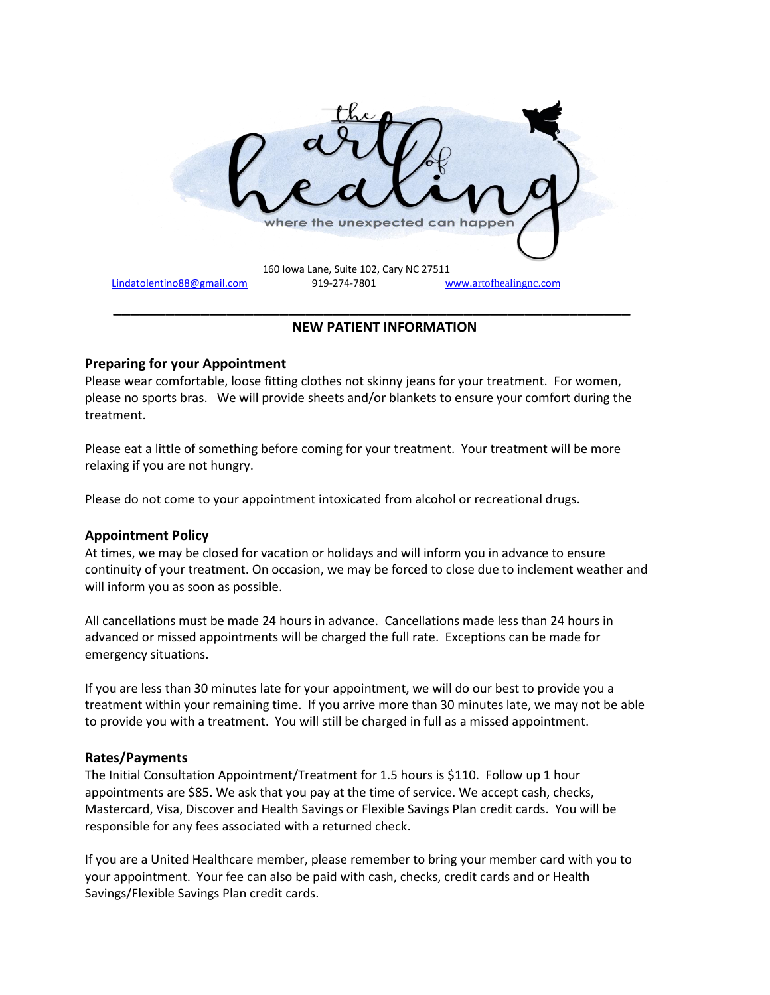

# **NEW PATIENT INFORMATION**

# **Preparing for your Appointment**

Please wear comfortable, loose fitting clothes not skinny jeans for your treatment. For women, please no sports bras. We will provide sheets and/or blankets to ensure your comfort during the treatment.

Please eat a little of something before coming for your treatment. Your treatment will be more relaxing if you are not hungry.

Please do not come to your appointment intoxicated from alcohol or recreational drugs.

### **Appointment Policy**

At times, we may be closed for vacation or holidays and will inform you in advance to ensure continuity of your treatment. On occasion, we may be forced to close due to inclement weather and will inform you as soon as possible.

All cancellations must be made 24 hours in advance. Cancellations made less than 24 hours in advanced or missed appointments will be charged the full rate. Exceptions can be made for emergency situations.

If you are less than 30 minutes late for your appointment, we will do our best to provide you a treatment within your remaining time. If you arrive more than 30 minutes late, we may not be able to provide you with a treatment. You will still be charged in full as a missed appointment.

### **Rates/Payments**

The Initial Consultation Appointment/Treatment for 1.5 hours is \$110. Follow up 1 hour appointments are \$85. We ask that you pay at the time of service. We accept cash, checks, Mastercard, Visa, Discover and Health Savings or Flexible Savings Plan credit cards. You will be responsible for any fees associated with a returned check.

If you are a United Healthcare member, please remember to bring your member card with you to your appointment. Your fee can also be paid with cash, checks, credit cards and or Health Savings/Flexible Savings Plan credit cards.